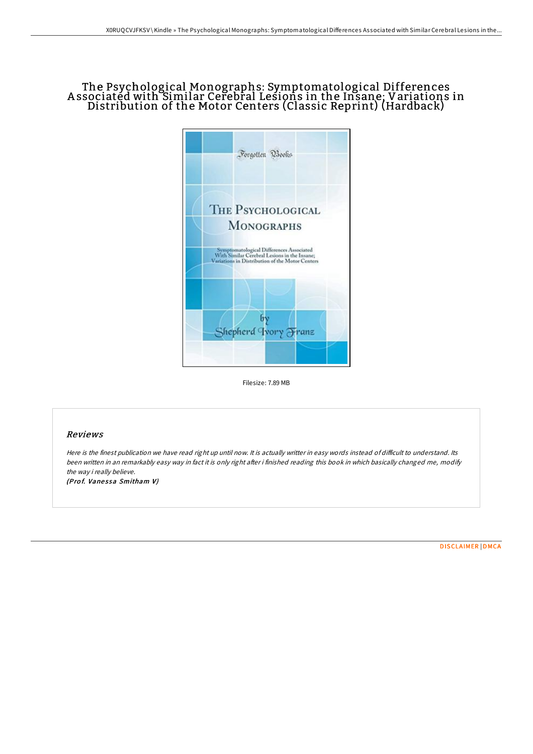# The Psychological Monographs: Symptomatological Differences A ssociated with Similar Cerebral Lesions in the Insane; Variations in Distribution of the Motor Centers (Classic Reprint) (Hardback)



Filesize: 7.89 MB

## Reviews

Here is the finest publication we have read right up until now. It is actually writter in easy words instead of difficult to understand. Its been written in an remarkably easy way in fact it is only right after i finished reading this book in which basically changed me, modify the way i really believe.

(Prof. Vanessa Smitham V)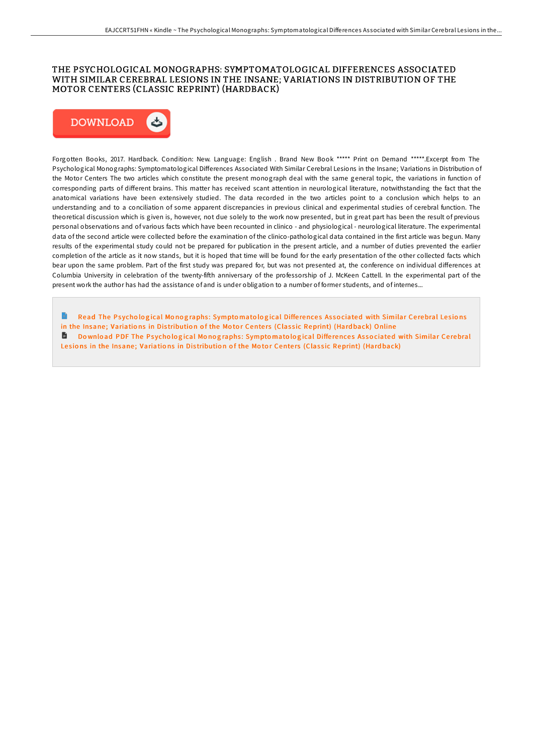## THE PSYCHOLOGICAL MONOGRAPHS: SYMPTOMATOLOGICAL DIFFERENCES ASSOCIATED WITH SIMILAR CEREBRAL LESIONS IN THE INSANE; VARIATIONS IN DISTRIBUTION OF THE MOTOR CENTERS (CLASSIC REPRINT) (HARDBACK)



Forgotten Books, 2017. Hardback. Condition: New. Language: English . Brand New Book \*\*\*\*\* Print on Demand \*\*\*\*\*.Excerpt from The Psychological Monographs: Symptomatological Differences Associated With Similar Cerebral Lesions in the Insane; Variations in Distribution of the Motor Centers The two articles which constitute the present monograph deal with the same general topic, the variations in function of corresponding parts of different brains. This matter has received scant attention in neurological literature, notwithstanding the fact that the anatomical variations have been extensively studied. The data recorded in the two articles point to a conclusion which helps to an understanding and to a conciliation of some apparent discrepancies in previous clinical and experimental studies of cerebral function. The theoretical discussion which is given is, however, not due solely to the work now presented, but in great part has been the result of previous personal observations and of various facts which have been recounted in clinico - and physiological - neurological literature. The experimental data of the second article were collected before the examination of the clinico-pathological data contained in the first article was begun. Many results of the experimental study could not be prepared for publication in the present article, and a number of duties prevented the earlier completion of the article as it now stands, but it is hoped that time will be found for the early presentation of the other collected facts which bear upon the same problem. Part of the first study was prepared for, but was not presented at, the conference on individual differences at Columbia University in celebration of the twenty-fiEh anniversary of the professorship of J. McKeen Cattell. In the experimental part of the present work the author has had the assistance of and is under obligation to a number of former students, and of internes...

Read The Psychological Monographs: Symptomatological Differences Associated with Similar Cerebral Lesions in the Insane; Variations in Distribution of the Motor Centers (Classic [Reprint\)](http://almighty24.tech/the-psychological-monographs-symptomatological-d-1.html) (Hardback) Online Do wnload PDF The Psychological Monographs: Symptomatological Differences Associated with Similar Cerebral Lesions in the Insane; Variations in Distribution of the Motor Centers (Classic [Reprint\)](http://almighty24.tech/the-psychological-monographs-symptomatological-d-1.html) (Hardback)